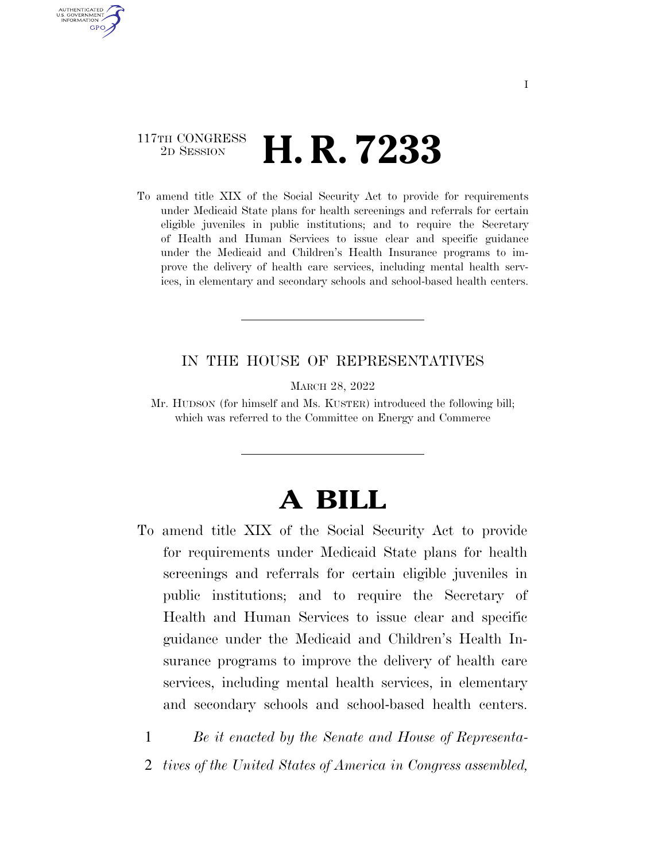### 117TH CONGRESS <sup>2D SESSION</sup> **H. R. 7233**

AUTHENTICATED U.S. GOVERNMENT **GPO** 

> To amend title XIX of the Social Security Act to provide for requirements under Medicaid State plans for health screenings and referrals for certain eligible juveniles in public institutions; and to require the Secretary of Health and Human Services to issue clear and specific guidance under the Medicaid and Children's Health Insurance programs to improve the delivery of health care services, including mental health services, in elementary and secondary schools and school-based health centers.

#### IN THE HOUSE OF REPRESENTATIVES

MARCH 28, 2022

Mr. HUDSON (for himself and Ms. KUSTER) introduced the following bill; which was referred to the Committee on Energy and Commerce

# **A BILL**

To amend title XIX of the Social Security Act to provide for requirements under Medicaid State plans for health screenings and referrals for certain eligible juveniles in public institutions; and to require the Secretary of Health and Human Services to issue clear and specific guidance under the Medicaid and Children's Health Insurance programs to improve the delivery of health care services, including mental health services, in elementary and secondary schools and school-based health centers.

1 *Be it enacted by the Senate and House of Representa-*2 *tives of the United States of America in Congress assembled,*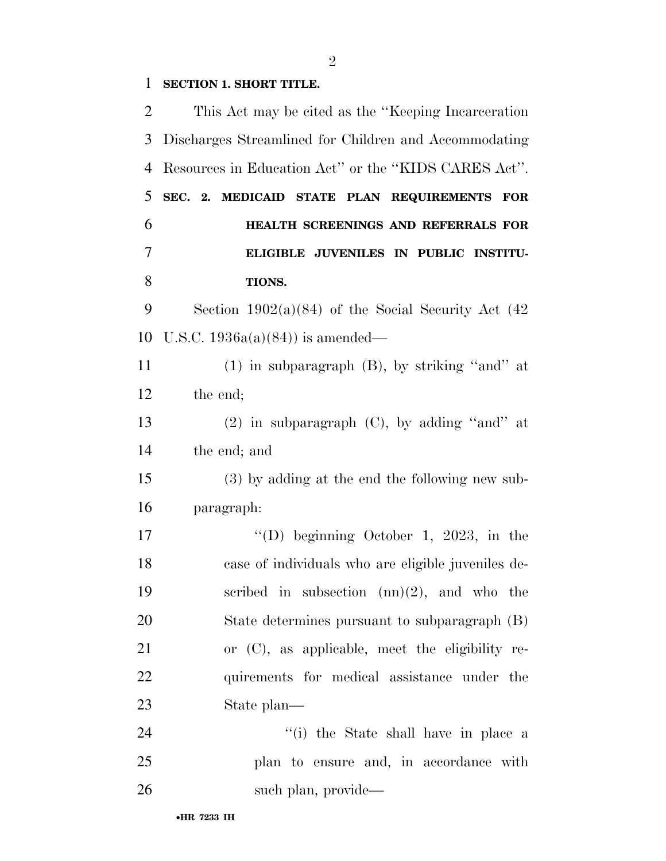### **SECTION 1. SHORT TITLE.**

| $\overline{2}$ | This Act may be cited as the "Keeping Incarceration"    |
|----------------|---------------------------------------------------------|
| 3              | Discharges Streamlined for Children and Accommodating   |
| 4              | Resources in Education Act" or the "KIDS CARES Act".    |
| 5              | SEC. 2. MEDICAID STATE PLAN REQUIREMENTS FOR            |
| 6              | HEALTH SCREENINGS AND REFERRALS FOR                     |
| 7              | ELIGIBLE JUVENILES IN PUBLIC INSTITU-                   |
| 8              | TIONS.                                                  |
| 9              | Section $1902(a)(84)$ of the Social Security Act $(42)$ |
| 10             | U.S.C. $1936a(a)(84)$ is amended—                       |
| 11             | $(1)$ in subparagraph $(B)$ , by striking "and" at      |
| 12             | the end;                                                |
| 13             | $(2)$ in subparagraph $(C)$ , by adding "and" at        |
| 14             | the end; and                                            |
| 15             | (3) by adding at the end the following new sub-         |
| 16             | paragraph:                                              |
| 17             | "(D) beginning October 1, 2023, in the                  |
| 18             | case of individuals who are eligible juveniles de-      |
| 19             | scribed in subsection $(nn)(2)$ , and who the           |
| 20             | State determines pursuant to subparagraph (B)           |
| 21             | or $(C)$ , as applicable, meet the eligibility re-      |
| 22             | quirements for medical assistance under the             |
| 23             | State plan—                                             |
| 24             | "(i) the State shall have in place a                    |
| 25             | plan to ensure and, in accordance with                  |
| 26             | such plan, provide—                                     |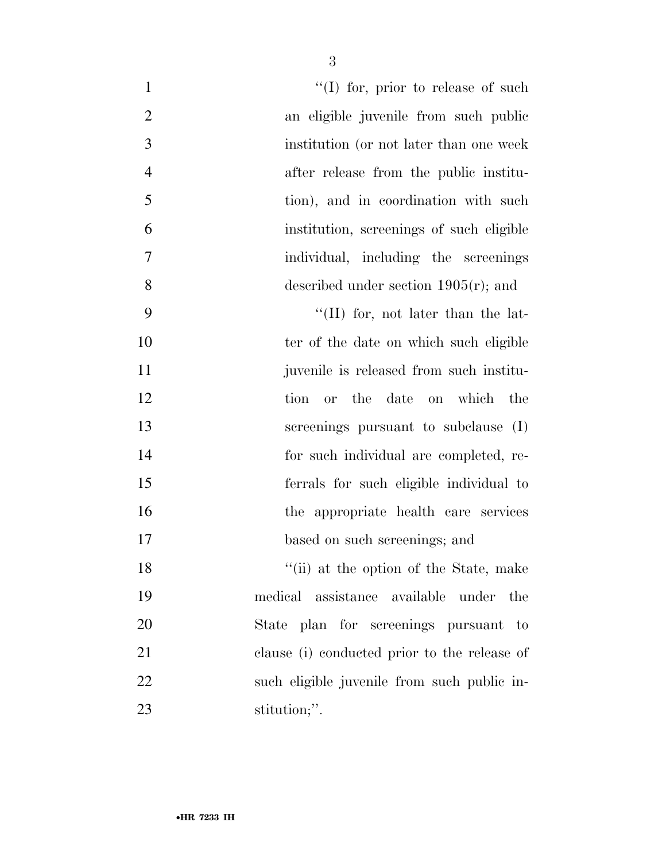| $\mathbf{1}$   | $\lq (I)$ for, prior to release of such      |
|----------------|----------------------------------------------|
| $\overline{2}$ | an eligible juvenile from such public        |
| 3              | institution (or not later than one week      |
| $\overline{4}$ | after release from the public institu-       |
| 5              | tion), and in coordination with such         |
| 6              | institution, screenings of such eligible     |
| 7              | individual, including the screenings         |
| 8              | described under section $1905(r)$ ; and      |
| 9              | "(II) for, not later than the lat-           |
| 10             | ter of the date on which such eligible       |
| 11             | juvenile is released from such institu-      |
| 12             | tion or the date on which the                |
| 13             | screenings pursuant to subclause (I)         |
| 14             | for such individual are completed, re-       |
| 15             | ferrals for such eligible individual to      |
| 16             | the appropriate health care services         |
| 17             | based on such screenings; and                |
| 18             | "(ii) at the option of the State, make       |
| 19             | medical assistance available under the       |
| 20             | State plan for screenings pursuant to        |
| 21             | clause (i) conducted prior to the release of |
| 22             | such eligible juvenile from such public in-  |
| 23             | stitution;".                                 |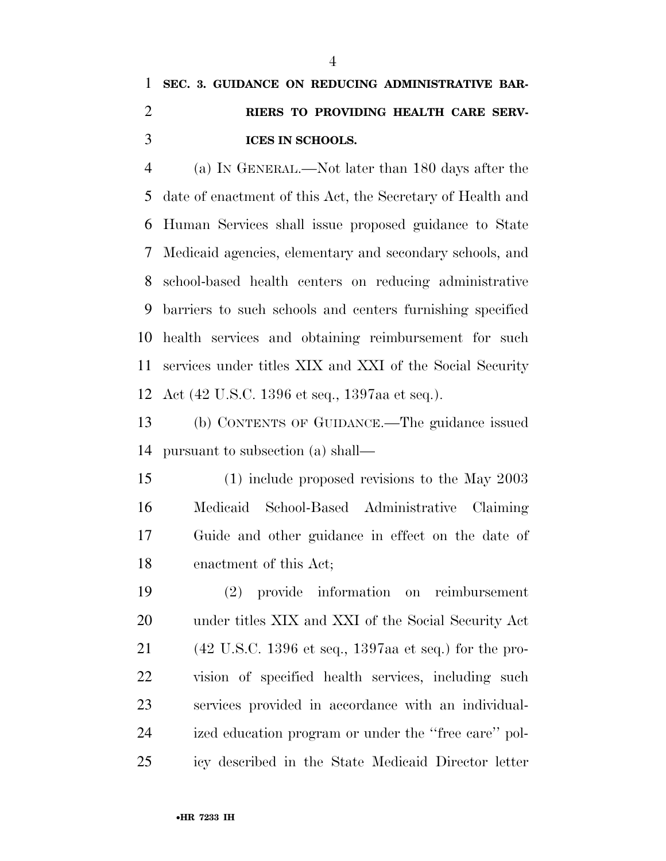## **SEC. 3. GUIDANCE ON REDUCING ADMINISTRATIVE BAR- RIERS TO PROVIDING HEALTH CARE SERV-ICES IN SCHOOLS.**

 (a) IN GENERAL.—Not later than 180 days after the date of enactment of this Act, the Secretary of Health and Human Services shall issue proposed guidance to State Medicaid agencies, elementary and secondary schools, and school-based health centers on reducing administrative barriers to such schools and centers furnishing specified health services and obtaining reimbursement for such services under titles XIX and XXI of the Social Security Act (42 U.S.C. 1396 et seq., 1397aa et seq.).

 (b) CONTENTS OF GUIDANCE.—The guidance issued pursuant to subsection (a) shall—

 (1) include proposed revisions to the May 2003 Medicaid School-Based Administrative Claiming Guide and other guidance in effect on the date of enactment of this Act;

 (2) provide information on reimbursement under titles XIX and XXI of the Social Security Act (42 U.S.C. 1396 et seq., 1397aa et seq.) for the pro- vision of specified health services, including such services provided in accordance with an individual- ized education program or under the ''free care'' pol-icy described in the State Medicaid Director letter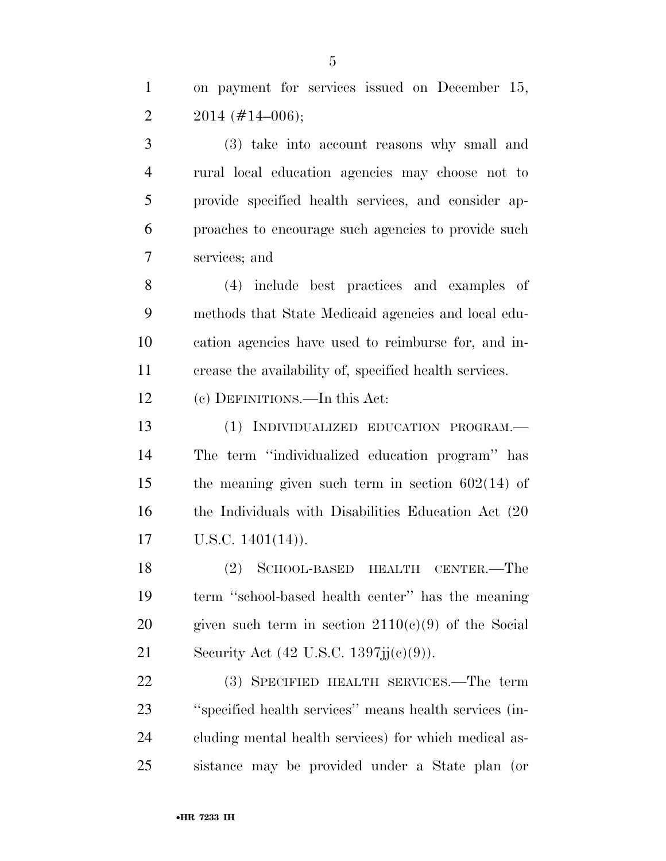on payment for services issued on December 15, 2  $2014 \ (\#14-006);$ 

 (3) take into account reasons why small and rural local education agencies may choose not to provide specified health services, and consider ap- proaches to encourage such agencies to provide such services; and

 (4) include best practices and examples of methods that State Medicaid agencies and local edu- cation agencies have used to reimburse for, and in-crease the availability of, specified health services.

(c) DEFINITIONS.—In this Act:

 (1) INDIVIDUALIZED EDUCATION PROGRAM.— The term ''individualized education program'' has the meaning given such term in section 602(14) of the Individuals with Disabilities Education Act (20 U.S.C. 1401(14)).

 (2) SCHOOL-BASED HEALTH CENTER.—The term ''school-based health center'' has the meaning 20 given such term in section  $2110(c)(9)$  of the Social 21 Security Act (42 U.S.C. 1397jj(c)(9)).

 (3) SPECIFIED HEALTH SERVICES.—The term ''specified health services'' means health services (in- cluding mental health services) for which medical as-sistance may be provided under a State plan (or